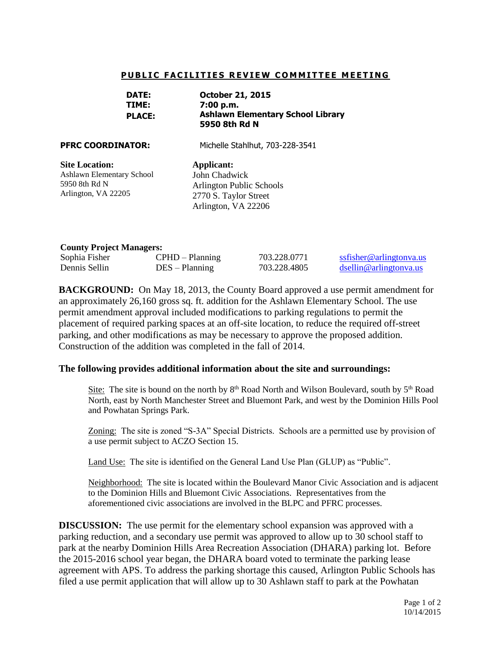## **PUBLIC FACILITIES REVIEW COMMITTEE MEETING**

| <b>DATE:</b>  | <b>October 21, 2015</b>                  |
|---------------|------------------------------------------|
| TIME:         | 7:00 p.m.                                |
| <b>PLACE:</b> | <b>Ashlawn Elementary School Library</b> |
|               | 5950 8th Rd N                            |

**PFRC COORDINATOR:** Michelle Stahlhut, 703-228-3541

**Site Location:**  Ashlawn Elementary School 5950 8th Rd N Arlington, VA 22205

**Applicant:** John Chadwick Arlington Public Schools 2770 S. Taylor Street Arlington, VA 22206

## **County Project Managers:**

| $\sim$        |                   |              |                                    |  |
|---------------|-------------------|--------------|------------------------------------|--|
| Sophia Fisher | $CPHD - Planning$ | 703.228.0771 | ssfisher@arlingtonya.us            |  |
| Dennis Sellin | $DES - Planning$  | 703.228.4805 | dsellin@arlin <sub>etonva.us</sub> |  |

**BACKGROUND:** On May 18, 2013, the County Board approved a use permit amendment for an approximately 26,160 gross sq. ft. addition for the Ashlawn Elementary School. The use permit amendment approval included modifications to parking regulations to permit the placement of required parking spaces at an off-site location, to reduce the required off-street parking, and other modifications as may be necessary to approve the proposed addition. Construction of the addition was completed in the fall of 2014.

## **The following provides additional information about the site and surroundings:**

Site: The site is bound on the north by  $8<sup>th</sup>$  Road North and Wilson Boulevard, south by  $5<sup>th</sup>$  Road North, east by North Manchester Street and Bluemont Park, and west by the Dominion Hills Pool and Powhatan Springs Park.

Zoning: The site is zoned "S-3A" Special Districts. Schools are a permitted use by provision of a use permit subject to ACZO Section 15.

Land Use: The site is identified on the General Land Use Plan (GLUP) as "Public".

Neighborhood: The site is located within the Boulevard Manor Civic Association and is adjacent to the Dominion Hills and Bluemont Civic Associations. Representatives from the aforementioned civic associations are involved in the BLPC and PFRC processes.

**DISCUSSION:** The use permit for the elementary school expansion was approved with a parking reduction, and a secondary use permit was approved to allow up to 30 school staff to park at the nearby Dominion Hills Area Recreation Association (DHARA) parking lot. Before the 2015-2016 school year began, the DHARA board voted to terminate the parking lease agreement with APS. To address the parking shortage this caused, Arlington Public Schools has filed a use permit application that will allow up to 30 Ashlawn staff to park at the Powhatan